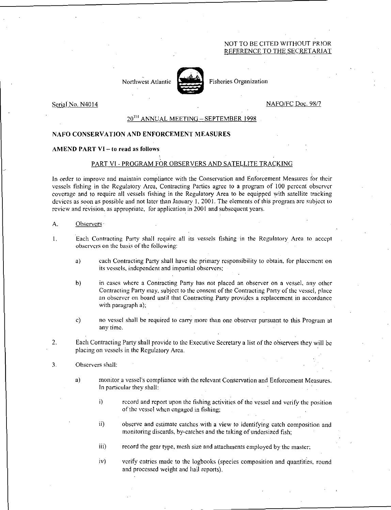# NOT TO BE CITED WITHOUT PRIOR REFERENCE TO THE SECRETARIAT

Northwest Atlantic **Fisheries Organization** 



Serial No. N4014 No. Nafo/FC Doc. 98/7

# 20<sup>TH</sup> ANNUAL MEETING – SEPTEMBER 1998

## NAFO CONSERVATION AND ENFORCEMENT MEASURES

#### AMEND PART VI—to read as follows

### PART VI - PROGRAM FOR OBSERVERS AND SATELLITE TRACKING

In order to improve and maintain compliance with the Conservation and Enforcement Measures for their vessels fishing in the Regulatory Area, Contracting Parties agree to a program of 100 percent observer coverage and to require all vessels fishing in the Regulatory Area to be equipped with satellite tracking devices as soon as possible and not later than January I, 2001. The elements of this program arc subject to review and revision, as appropriate, for application in 2001 and subsequent years.

#### A. Observers

- 1. Each Contracting Party shall require all its vessels fishing in the Regulatory Area to accept observers on the basis of the following:
	- a) each Contracting Party shall have the primary responsibility to obtain, for placement on its vessels. independent and impartial observers;
	- b) in cases where a Contracting Party has not placed an observer on a vessel, any other Contracting Party may, subject to the consent of the Contracting Party of the vessel, place an observer on board until that Contracting Party provides a replacement in accordance with paragraph a);
	- c) no vessel shall be required to carry more than one observer pursuant to this Program at any time.
- 2. Each Contracting Party shall provide to the Executive Secretary a list of the observers they will be placing on vessels in the Regulatory Arca.

#### 3. Observers shall:

- a) monitor a vessel's compliance with the relevant Conservation and Enforcement Measures. In particular they shall:
	- i) record and report upon the fishing activities of the vessel and verify the position of the vessel when engaged in fishing;
	- ii) observe and estimate catches with a view to identifying catch composition and monitoring discards, by-catches and the taking of undersized fish;
	- iii) record the gear type, mesh size and attachments employed by the master;
	- iv) verify entries made to the logbooks (species composition and quantities, round and processed weight and hail reports).